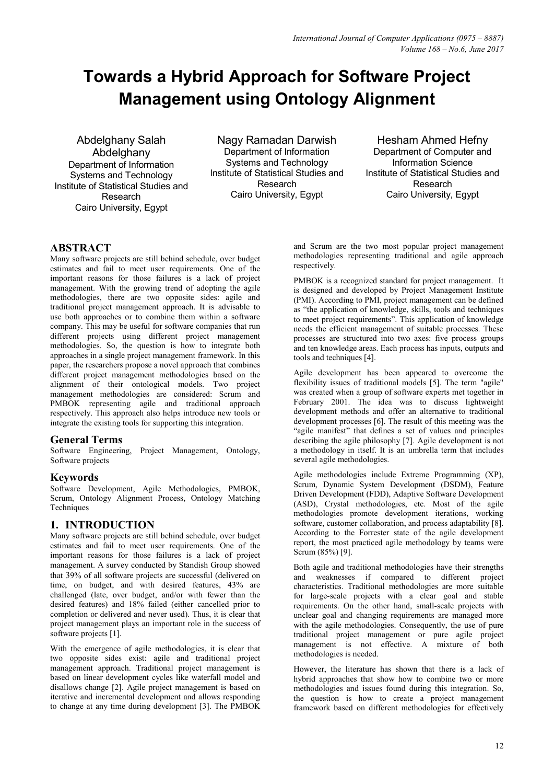# **Towards a Hybrid Approach for Software Project Management using Ontology Alignment**

Abdelghany Salah **Abdelghany** Department of Information Systems and Technology Institute of Statistical Studies and Research Cairo University, Egypt

Nagy Ramadan Darwish Department of Information Systems and Technology Institute of Statistical Studies and Research Cairo University, Egypt

Hesham Ahmed Hefny Department of Computer and Information Science Institute of Statistical Studies and Research Cairo University, Egypt

# **ABSTRACT**

Many software projects are still behind schedule, over budget estimates and fail to meet user requirements. One of the important reasons for those failures is a lack of project management. With the growing trend of adopting the agile methodologies, there are two opposite sides: agile and traditional project management approach. It is advisable to use both approaches or to combine them within a software company. This may be useful for software companies that run different projects using different project management methodologies. So, the question is how to integrate both approaches in a single project management framework. In this paper, the researchers propose a novel approach that combines different project management methodologies based on the alignment of their ontological models. Two project management methodologies are considered: Scrum and PMBOK representing agile and traditional approach respectively. This approach also helps introduce new tools or integrate the existing tools for supporting this integration.

### **General Terms**

Software Engineering, Project Management, Ontology, Software projects

## **Keywords**

Software Development, Agile Methodologies, PMBOK, Scrum, Ontology Alignment Process, Ontology Matching **Techniques** 

# **1. INTRODUCTION**

Many software projects are still behind schedule, over budget estimates and fail to meet user requirements. One of the important reasons for those failures is a lack of project management. A survey conducted by Standish Group showed that 39% of all software projects are successful (delivered on time, on budget, and with desired features, 43% are challenged (late, over budget, and/or with fewer than the desired features) and 18% failed (either cancelled prior to completion or delivered and never used). Thus, it is clear that project management plays an important role in the success of software projects [1].

With the emergence of agile methodologies, it is clear that two opposite sides exist: agile and traditional project management approach. Traditional project management is based on linear development cycles like waterfall model and disallows change [2]. Agile project management is based on iterative and incremental development and allows responding to change at any time during development [3]. The PMBOK

and Scrum are the two most popular project management methodologies representing traditional and agile approach respectively.

PMBOK is a recognized standard for project management. It is designed and developed by Project Management Institute (PMI). According to PMI, project management can be defined as "the application of knowledge, skills, tools and techniques to meet project requirements". This application of knowledge needs the efficient management of suitable processes. These processes are structured into two axes: five process groups and ten knowledge areas. Each process has inputs, outputs and tools and techniques [4].

Agile development has been appeared to overcome the flexibility issues of traditional models [5]. The term "agile" was created when a group of software experts met together in February 2001. The idea was to discuss lightweight development methods and offer an alternative to traditional development processes [6]. The result of this meeting was the "agile manifest" that defines a set of values and principles describing the agile philosophy [7]. Agile development is not a methodology in itself. It is an umbrella term that includes several agile methodologies.

Agile methodologies include Extreme Programming (XP), Scrum, Dynamic System Development (DSDM), Feature Driven Development (FDD), Adaptive Software Development (ASD), Crystal methodologies, etc. Most of the agile methodologies promote development iterations, working software, customer collaboration, and process adaptability [8]. According to the Forrester state of the agile development report, the most practiced agile methodology by teams were Scrum (85%) [9].

Both agile and traditional methodologies have their strengths and weaknesses if compared to different project characteristics. Traditional methodologies are more suitable for large-scale projects with a clear goal and stable requirements. On the other hand, small-scale projects with unclear goal and changing requirements are managed more with the agile methodologies. Consequently, the use of pure traditional project management or pure agile project management is not effective. A mixture of both methodologies is needed.

However, the literature has shown that there is a lack of hybrid approaches that show how to combine two or more methodologies and issues found during this integration. So, the question is how to create a project management framework based on different methodologies for effectively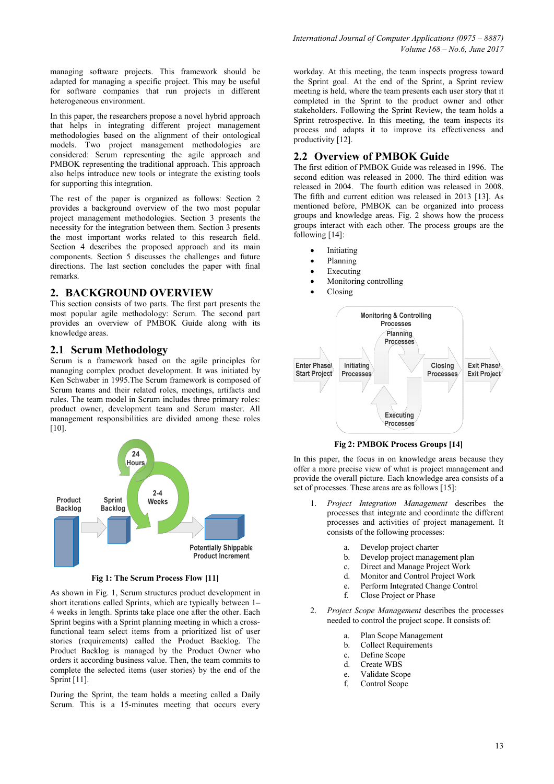managing software projects. This framework should be adapted for managing a specific project. This may be useful for software companies that run projects in different heterogeneous environment.

In this paper, the researchers propose a novel hybrid approach that helps in integrating different project management methodologies based on the alignment of their ontological models. Two project management methodologies are considered: Scrum representing the agile approach and PMBOK representing the traditional approach. This approach also helps introduce new tools or integrate the existing tools for supporting this integration.

The rest of the paper is organized as follows: Section 2 provides a background overview of the two most popular project management methodologies. Section 3 presents the necessity for the integration between them. Section 3 presents the most important works related to this research field. Section 4 describes the proposed approach and its main components. Section 5 discusses the challenges and future directions. The last section concludes the paper with final remarks.

## **2. BACKGROUND OVERVIEW**

This section consists of two parts. The first part presents the most popular agile methodology: Scrum. The second part provides an overview of PMBOK Guide along with its knowledge areas.

### **2.1 Scrum Methodology**

Scrum is a framework based on the agile principles for managing complex product development. It was initiated by Ken Schwaber in 1995.The Scrum framework is composed of Scrum teams and their related roles, meetings, artifacts and rules. The team model in Scrum includes three primary roles: product owner, development team and Scrum master. All management responsibilities are divided among these roles  $[10]$ .



**Fig 1: The Scrum Process Flow [11]** 

As shown in Fig. 1, Scrum structures product development in short iterations called Sprints, which are typically between 1– 4 weeks in length. Sprints take place one after the other. Each Sprint begins with a Sprint planning meeting in which a crossfunctional team select items from a prioritized list of user stories (requirements) called the Product Backlog. The Product Backlog is managed by the Product Owner who orders it according business value. Then, the team commits to complete the selected items (user stories) by the end of the Sprint [11].

During the Sprint, the team holds a meeting called a Daily Scrum. This is a 15-minutes meeting that occurs every

workday. At this meeting, the team inspects progress toward the Sprint goal. At the end of the Sprint, a Sprint review meeting is held, where the team presents each user story that it completed in the Sprint to the product owner and other stakeholders. Following the Sprint Review, the team holds a Sprint retrospective. In this meeting, the team inspects its process and adapts it to improve its effectiveness and productivity [12].

## **2.2 Overview of PMBOK Guide**

The first edition of PMBOK Guide was released in 1996. The second edition was released in 2000. The third edition was released in 2004. The fourth edition was released in 2008. The fifth and current edition was released in 2013 [13]. As mentioned before, PMBOK can be organized into process groups and knowledge areas. Fig. 2 shows how the process groups interact with each other. The process groups are the following [14]:

- **Initiating**
- Planning
- Executing
- Monitoring controlling
- Closing



**Fig 2: PMBOK Process Groups [14]** 

In this paper, the focus in on knowledge areas because they offer a more precise view of what is project management and provide the overall picture. Each knowledge area consists of a set of processes. These areas are as follows [15]:

- 1. *Project Integration Management* describes the processes that integrate and coordinate the different processes and activities of project management. It consists of the following processes:
	- a. Develop project charter
	- b. Develop project management plan
	- c. Direct and Manage Project Work<br>d. Monitor and Control Project Wor
	- d. Monitor and Control Project Work<br>e. Perform Integrated Change Contro
	- e. Perform Integrated Change Control<br>f. Close Project or Phase
	- Close Project or Phase
- 2. *Project Scope Management* describes the processes needed to control the project scope. It consists of:
	- a. Plan Scope Management
	- b. Collect Requirements
	- c. Define Scope
	- d. Create WBS
	- e. Validate Scope
	- f. Control Scope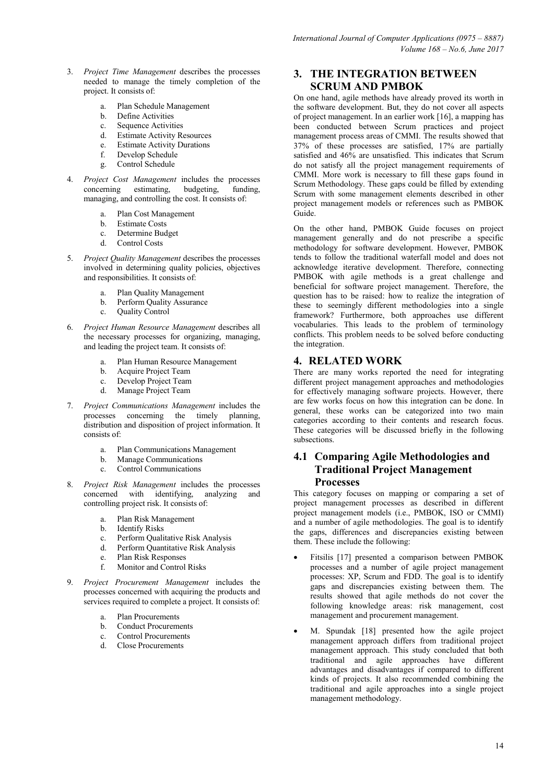- 3. *Project Time Management* describes the processes needed to manage the timely completion of the project. It consists of:
	- a. Plan Schedule Management
	- Define Activities
	- c. Sequence Activities
	- d. Estimate Activity Resources
	- e. Estimate Activity Durations
	- f. Develop Schedule
	- g. Control Schedule
- 4. *Project Cost Management* includes the processes concerning estimating, managing, and controlling the cost. It consists of:
	- a. Plan Cost Management
	- b. Estimate Costs
	- c. Determine Budget<br>d. Control Costs
	- Control Costs
- 5. *Project Quality Management* describes the processes involved in determining quality policies, objectives and responsibilities. It consists of:
	- a. Plan Quality Management
	- b. Perform Quality Assurance
	- c. Quality Control
- 6. *Project Human Resource Management* describes all the necessary processes for organizing, managing, and leading the project team. It consists of:
	- a. Plan Human Resource Management
	- b. Acquire Project Team
	- c. Develop Project Team
	- d. Manage Project Team
- 7. *Project Communications Management* includes the processes concerning the timely planning, distribution and disposition of project information. It consists of:
	- a. Plan Communications Management
	- b. Manage Communications
	- c. Control Communications
- 8. *Project Risk Management* includes the processes concerned with identifying, analyzing and controlling project risk. It consists of:
	- a. Plan Risk Management
	- **Identify Risks**
	- c. Perform Qualitative Risk Analysis
	- d. Perform Quantitative Risk Analysis
	- e. Plan Risk Responses
	- Monitor and Control Risks
- 9. *Project Procurement Management* includes the processes concerned with acquiring the products and services required to complete a project. It consists of:
	- a. Plan Procurements
	- b. Conduct Procurements
	- c. Control Procurements
	- d. Close Procurements

## **3. THE INTEGRATION BETWEEN SCRUM AND PMBOK**

On one hand, agile methods have already proved its worth in the software development. But, they do not cover all aspects of project management. In an earlier work [16], a mapping has been conducted between Scrum practices and project management process areas of CMMI. The results showed that 37% of these processes are satisfied, 17% are partially satisfied and 46% are unsatisfied. This indicates that Scrum do not satisfy all the project management requirements of CMMI. More work is necessary to fill these gaps found in Scrum Methodology. These gaps could be filled by extending Scrum with some management elements described in other project management models or references such as PMBOK Guide.

On the other hand, PMBOK Guide focuses on project management generally and do not prescribe a specific methodology for software development. However, PMBOK tends to follow the traditional waterfall model and does not acknowledge iterative development. Therefore, connecting PMBOK with agile methods is a great challenge and beneficial for software project management. Therefore, the question has to be raised: how to realize the integration of these to seemingly different methodologies into a single framework? Furthermore, both approaches use different vocabularies. This leads to the problem of terminology conflicts. This problem needs to be solved before conducting the integration.

## **4. RELATED WORK**

There are many works reported the need for integrating different project management approaches and methodologies for effectively managing software projects. However, there are few works focus on how this integration can be done. In general, these works can be categorized into two main categories according to their contents and research focus. These categories will be discussed briefly in the following subsections.

# **4.1 Comparing Agile Methodologies and Traditional Project Management Processes**

This category focuses on mapping or comparing a set of project management processes as described in different project management models (i.e., PMBOK, ISO or CMMI) and a number of agile methodologies. The goal is to identify the gaps, differences and discrepancies existing between them. These include the following:

- Fitsilis [17] presented a comparison between PMBOK processes and a number of agile project management processes: XP, Scrum and FDD. The goal is to identify gaps and discrepancies existing between them. The results showed that agile methods do not cover the following knowledge areas: risk management, cost management and procurement management.
- M. Spundak [18] presented how the agile project management approach differs from traditional project management approach. This study concluded that both traditional and agile approaches have different advantages and disadvantages if compared to different kinds of projects. It also recommended combining the traditional and agile approaches into a single project management methodology.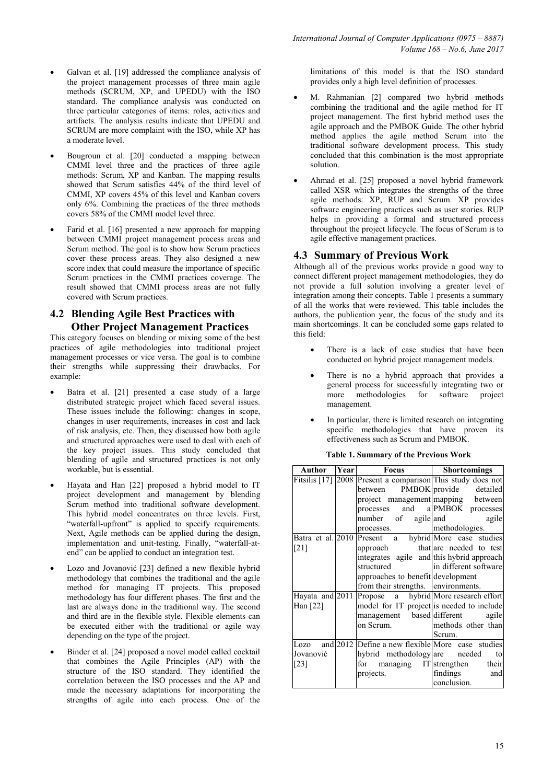- Galvan et al. [19] addressed the compliance analysis of the project management processes of three main agile methods (SCRUM, XP, and UPEDU) with the ISO standard. The compliance analysis was conducted on three particular categories of items: roles, activities and artifacts. The analysis results indicate that UPEDU and SCRUM are more complaint with the ISO, while XP has a moderate level.
- Bougroun et al. [20] conducted a mapping between CMMI level three and the practices of three agile methods: Scrum, XP and Kanban. The mapping results showed that Scrum satisfies 44% of the third level of CMMI, XP covers 45% of this level and Kanban covers only 6%. Combining the practices of the three methods covers 58% of the CMMI model level three.
- Farid et al. [16] presented a new approach for mapping between CMMI project management process areas and Scrum method. The goal is to show how Scrum practices cover these process areas. They also designed a new score index that could measure the importance of specific Scrum practices in the CMMI practices coverage. The result showed that CMMI process areas are not fully covered with Scrum practices.

## **4.2 Blending Agile Best Practices with Other Project Management Practices**

This category focuses on blending or mixing some of the best practices of agile methodologies into traditional project management processes or vice versa. The goal is to combine their strengths while suppressing their drawbacks. For example:

- Batra et al. [21] presented a case study of a large distributed strategic project which faced several issues. These issues include the following: changes in scope, changes in user requirements, increases in cost and lack of risk analysis, etc. Then, they discussed how both agile and structured approaches were used to deal with each of the key project issues. This study concluded that blending of agile and structured practices is not only workable, but is essential.
- Hayata and Han [22] proposed a hybrid model to IT project development and management by blending Scrum method into traditional software development. This hybrid model concentrates on three levels. First, "waterfall-upfront" is applied to specify requirements. Next, Agile methods can be applied during the design, implementation and unit-testing. Finally, "waterfall-atend" can be applied to conduct an integration test.
- Lozo and Jovanović [23] defined a new flexible hybrid methodology that combines the traditional and the agile method for managing IT projects. This proposed methodology has four different phases. The first and the last are always done in the traditional way. The second and third are in the flexible style. Flexible elements can be executed either with the traditional or agile way depending on the type of the project.
- Binder et al. [24] proposed a novel model called cocktail that combines the Agile Principles (AP) with the structure of the ISO standard. They identified the correlation between the ISO processes and the AP and made the necessary adaptations for incorporating the strengths of agile into each process. One of the

limitations of this model is that the ISO standard provides only a high level definition of processes.

- M. Rahmanian [2] compared two hybrid methods combining the traditional and the agile method for IT project management. The first hybrid method uses the agile approach and the PMBOK Guide. The other hybrid method applies the agile method Scrum into the traditional software development process. This study concluded that this combination is the most appropriate solution.
- Ahmad et al. [25] proposed a novel hybrid framework called XSR which integrates the strengths of the three agile methods: XP, RUP and Scrum. XP provides software engineering practices such as user stories. RUP helps in providing a formal and structured process throughout the project lifecycle. The focus of Scrum is to agile effective management practices.

# **4.3 Summary of Previous Work**

Although all of the previous works provide a good way to connect different project management methodologies, they do not provide a full solution involving a greater level of integration among their concepts. Table 1 presents a summary of all the works that were reviewed. This table includes the authors, the publication year, the focus of the study and its main shortcomings. It can be concluded some gaps related to this field:

- There is a lack of case studies that have been conducted on hybrid project management models.
- There is no a hybrid approach that provides a general process for successfully integrating two or more methodologies for software project management.
- In particular, there is limited research on integrating specific methodologies that have proven its effectiveness such as Scrum and PMBOK.

| Author                    | Year | <b>Focus</b>                                                  | <b>Shortcomings</b>        |
|---------------------------|------|---------------------------------------------------------------|----------------------------|
|                           |      | Fitsilis $[17]$ 2008 Present a comparison This study does not |                            |
|                           |      | between PMBOK provide detailed                                |                            |
|                           |      | project management mapping between                            |                            |
|                           |      | processes and a PMBOK processes                               |                            |
|                           |      | number of agile and                                           | agile                      |
|                           |      | processes.                                                    | methodologies.             |
| Batra et al. 2010 Present |      |                                                               | a hybrid More case studies |
| [21]                      |      | approach that are needed to test                              |                            |
|                           |      | integrates agile and this hybrid approach                     |                            |
|                           |      | structured                                                    | in different software      |
|                           |      | approaches to benefit development                             |                            |
|                           |      | from their strengths. environments.                           |                            |
| Hayata and 2011           |      | Propose a hybrid More research effort                         |                            |
| Han $[22]$                |      | model for IT project is needed to include                     |                            |
|                           |      | management based different                                    | agile                      |
|                           |      | on Scrum.                                                     | methods other than         |
|                           |      |                                                               | Scrum.                     |
|                           |      | Lozo and $2012$ Define a new flexible More case studies       |                            |
| Jovanović                 |      | hybrid methodology are needed                                 | to                         |
| [23]                      |      | for managing IT strengthen their                              |                            |
|                           |      | projects.                                                     | findings<br>and            |
|                           |      |                                                               | conclusion.                |

**Table 1. Summary of the Previous Work**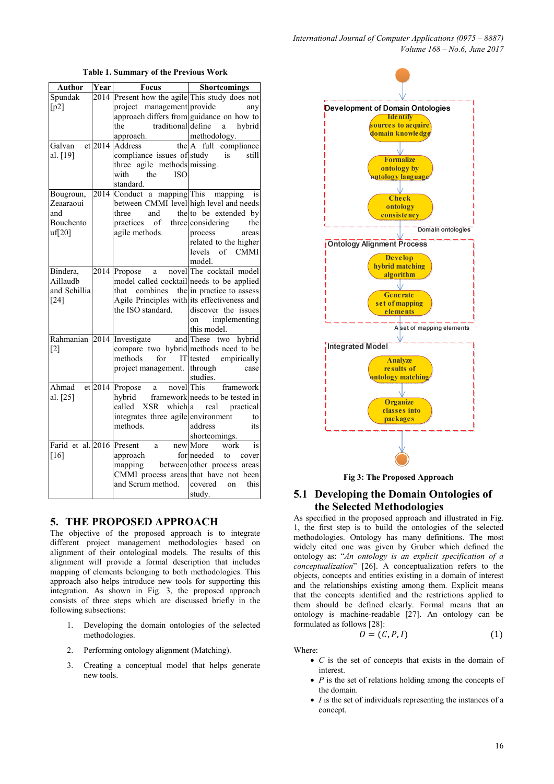| Author            | Year                 | <b>Focus</b>                                                                | <b>Shortcomings</b>             |
|-------------------|----------------------|-----------------------------------------------------------------------------|---------------------------------|
| Spundak           | 2014                 | Present how the agile This study does not                                   |                                 |
| [p2]              |                      | project management provide                                                  | any                             |
|                   |                      | approach differs from guidance on how to                                    |                                 |
|                   |                      | traditional define<br>the                                                   | hybrid<br>a                     |
|                   |                      |                                                                             |                                 |
| Galvan            | $et$ <sub>2014</sub> | approach. $\frac{\text{metnouology}}{\text{Address}}$ the A full compliance |                                 |
| al. [19]          |                      | compliance issues of study                                                  | is<br>still                     |
|                   |                      | three agile methods missing.                                                |                                 |
|                   |                      | the<br>with<br><b>ISO</b>                                                   |                                 |
|                   |                      | standard.                                                                   |                                 |
| Bougroun,         | 2014                 | Conduct a mapping This mapping                                              | is                              |
| Zeaaraoui         |                      | between CMMI level high level and needs                                     |                                 |
| and               |                      | three<br>and                                                                | the to be extended by           |
| Bouchento         |                      | practices of three considering                                              | the                             |
| $\text{uf}[20]$   |                      | agile methods.                                                              | process<br>areas                |
|                   |                      |                                                                             | related to the higher           |
|                   |                      |                                                                             | levels of CMMI                  |
|                   |                      |                                                                             | model.                          |
| Bindera,          | 2014                 | Propose                                                                     | a novel The cocktail model      |
| Aillaudb          |                      | model called cocktail needs to be applied                                   |                                 |
| and Schillia      |                      | that combines                                                               | the in practice to assess       |
| $[24]$            |                      | Agile Principles with its effectiveness and                                 |                                 |
|                   |                      | the ISO standard.                                                           | discover the issues             |
|                   |                      |                                                                             | implementing<br><sub>on</sub>   |
|                   |                      |                                                                             | this model.                     |
| Rahmanian         | 2014                 | Investigate                                                                 | and These<br>two hybrid         |
| $[2]$             |                      | compare two hybrid methods need to be                                       |                                 |
|                   |                      | methods<br>for                                                              | IT tested empirically           |
|                   |                      | project management.                                                         | through<br>case                 |
|                   |                      |                                                                             | studies.                        |
| Ahmad             | $et$ <sub>2014</sub> | a novel This<br>Propose                                                     | framework                       |
| al. [25]          |                      | hybrid                                                                      | framework needs to be tested in |
|                   |                      | called XSR which a                                                          | real<br>practical               |
|                   |                      | integrates three agile environment                                          | to                              |
|                   |                      | methods.                                                                    | address<br>its                  |
|                   |                      |                                                                             | shortcomings.                   |
| Farid et al. 2016 |                      | Present<br>a                                                                | new More<br>work<br>is          |
| [16]              |                      | approach                                                                    | for needed<br>to cover          |
|                   |                      | mapping between other process areas                                         |                                 |
|                   |                      | CMMI process areas that have not been                                       |                                 |
|                   |                      | and Scrum method.                                                           | covered<br>on<br>this           |
|                   |                      |                                                                             | study.                          |

**Table 1. Summary of the Previous Work** 

#### **5. THE PROPOSED APPROACH**

The objective of the proposed approach is to integrate different project management methodologies based on alignment of their ontological models. The results of this alignment will provide a formal description that includes mapping of elements belonging to both methodologies. This approach also helps introduce new tools for supporting this integration. As shown in Fig. 3, the proposed approach consists of three steps which are discussed briefly in the following subsections:

- 1. Developing the domain ontologies of the selected methodologies.
- 2. Performing ontology alignment (Matching).
- 3. Creating a conceptual model that helps generate new tools.



**Fig 3: The Proposed Approach** 

## **5.1 Developing the Domain Ontologies of the Selected Methodologies**

As specified in the proposed approach and illustrated in Fig. 1, the first step is to build the ontologies of the selected methodologies. Ontology has many definitions. The most widely cited one was given by Gruber which defined the ontology as: "*An ontology is an explicit specification of a conceptualization*" [26]. A conceptualization refers to the objects, concepts and entities existing in a domain of interest and the relationships existing among them. Explicit means that the concepts identified and the restrictions applied to them should be defined clearly. Formal means that an ontology is machine-readable [27]. An ontology can be formulated as follows [28]:

$$
O = (C, P, I) \tag{1}
$$

Where:

- *C* is the set of concepts that exists in the domain of interest.
- *P* is the set of relations holding among the concepts of the domain.
- *I* is the set of individuals representing the instances of a concept.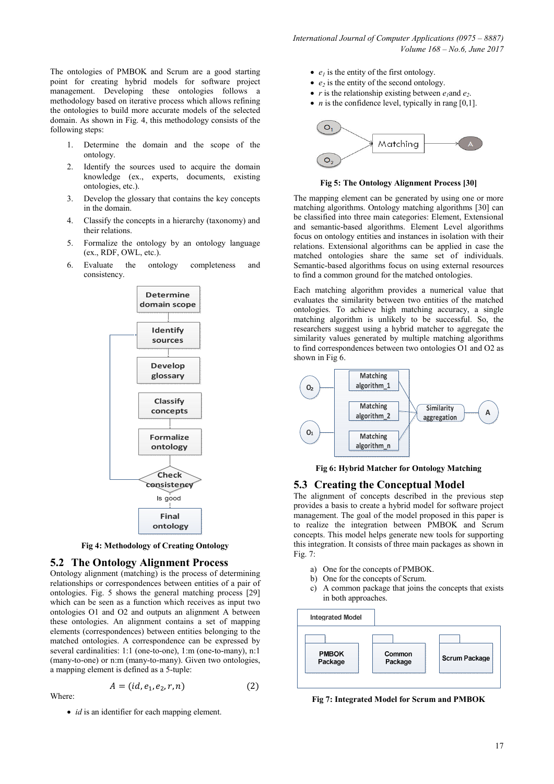The ontologies of PMBOK and Scrum are a good starting point for creating hybrid models for software project management. Developing these ontologies follows a methodology based on iterative process which allows refining the ontologies to build more accurate models of the selected domain. As shown in Fig. 4, this methodology consists of the following steps:

- 1. Determine the domain and the scope of the ontology.
- 2. Identify the sources used to acquire the domain knowledge (ex., experts, documents, existing ontologies, etc.).
- 3. Develop the glossary that contains the key concepts in the domain.
- 4. Classify the concepts in a hierarchy (taxonomy) and their relations.
- 5. Formalize the ontology by an ontology language (ex., RDF, OWL, etc.).
- 6. Evaluate the ontology completeness and consistency.



**Fig 4: Methodology of Creating Ontology** 

### **5.2 The Ontology Alignment Process**

Ontology alignment (matching) is the process of determining relationships or correspondences between entities of a pair of ontologies. Fig. 5 shows the general matching process [29] which can be seen as a function which receives as input two ontologies O1 and O2 and outputs an alignment A between these ontologies. An alignment contains a set of mapping elements (correspondences) between entities belonging to the matched ontologies. A correspondence can be expressed by several cardinalities: 1:1 (one-to-one), 1:m (one-to-many), n:1 (many-to-one) or n:m (many-to-many). Given two ontologies, a mapping element is defined as a 5-tuple:

$$
A = (id, e_1, e_2, r, n)
$$

 $(2)$ 

• *id* is an identifier for each mapping element.

Where:

- $e_i$  is the entity of the first ontology.
- *e<sup>2</sup>* is the entity of the second ontology.
- *r* is the relationship existing between  $e_1$  and  $e_2$ .
- *n* is the confidence level, typically in rang [0,1].



**Fig 5: The Ontology Alignment Process [30]** 

The mapping element can be generated by using one or more matching algorithms. Ontology matching algorithms [30] can be classified into three main categories: Element, Extensional and semantic-based algorithms. Element Level algorithms focus on ontology entities and instances in isolation with their relations. Extensional algorithms can be applied in case the matched ontologies share the same set of individuals. Semantic-based algorithms focus on using external resources to find a common ground for the matched ontologies.

Each matching algorithm provides a numerical value that evaluates the similarity between two entities of the matched ontologies. To achieve high matching accuracy, a single matching algorithm is unlikely to be successful. So, the researchers suggest using a hybrid matcher to aggregate the similarity values generated by multiple matching algorithms to find correspondences between two ontologies O1 and O2 as shown in Fig 6.



**Fig 6: Hybrid Matcher for Ontology Matching** 

### **5.3 Creating the Conceptual Model**

The alignment of concepts described in the previous step provides a basis to create a hybrid model for software project management. The goal of the model proposed in this paper is to realize the integration between PMBOK and Scrum concepts. This model helps generate new tools for supporting this integration. It consists of three main packages as shown in Fig. 7:

- a) One for the concepts of PMBOK.
- b) One for the concepts of Scrum.
- c) A common package that joins the concepts that exists in both approaches.



**Fig 7: Integrated Model for Scrum and PMBOK**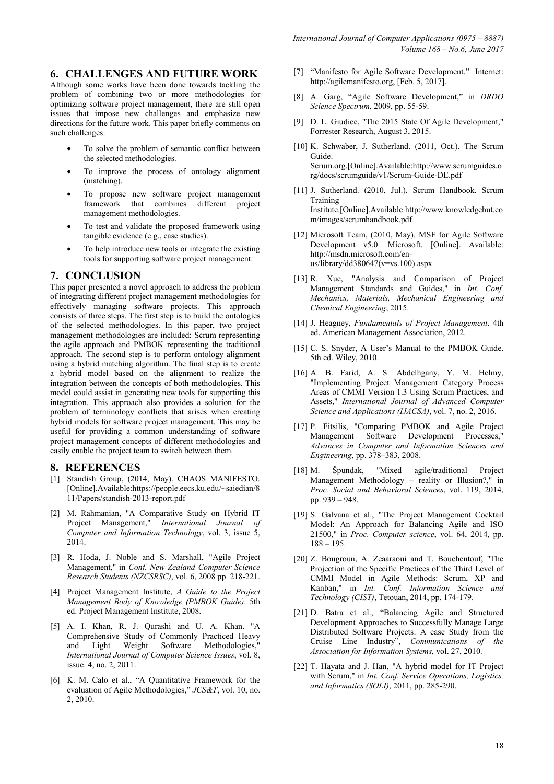# **6. CHALLENGES AND FUTURE WORK**

Although some works have been done towards tackling the problem of combining two or more methodologies for optimizing software project management, there are still open issues that impose new challenges and emphasize new directions for the future work. This paper briefly comments on such challenges:

- To solve the problem of semantic conflict between the selected methodologies.
- To improve the process of ontology alignment (matching).
- To propose new software project management framework that combines different project management methodologies.
- To test and validate the proposed framework using tangible evidence (e.g., case studies).
- To help introduce new tools or integrate the existing tools for supporting software project management.

## **7. CONCLUSION**

This paper presented a novel approach to address the problem of integrating different project management methodologies for effectively managing software projects. This approach consists of three steps. The first step is to build the ontologies of the selected methodologies. In this paper, two project management methodologies are included: Scrum representing the agile approach and PMBOK representing the traditional approach. The second step is to perform ontology alignment using a hybrid matching algorithm. The final step is to create a hybrid model based on the alignment to realize the integration between the concepts of both methodologies. This model could assist in generating new tools for supporting this integration. This approach also provides a solution for the problem of terminology conflicts that arises when creating hybrid models for software project management. This may be useful for providing a common understanding of software project management concepts of different methodologies and easily enable the project team to switch between them.

### **8. REFERENCES**

- [1] Standish Group, (2014, May). CHAOS MANIFESTO. [Online].Available:https://people.eecs.ku.edu/~saiedian/8 11/Papers/standish-2013-report.pdf
- [2] M. Rahmanian, "A Comparative Study on Hybrid IT Project Management," *International Journal of Computer and Information Technology*, vol. 3, issue 5, 2014.
- [3] R. Hoda, J. Noble and S. Marshall, "Agile Project Management," in *Conf. New Zealand Computer Science Research Students (NZCSRSC)*, vol. 6, 2008 pp. 218-221.
- [4] Project Management Institute, *A Guide to the Project Management Body of Knowledge (PMBOK Guide)*. 5th ed. Project Management Institute, 2008.
- [5] A. I. Khan, R. J. Qurashi and U. A. Khan. "A Comprehensive Study of Commonly Practiced Heavy and Light Weight Software Methodologies," *International Journal of Computer Science Issues*, vol. 8, issue. 4, no. 2, 2011.
- [6] K. M. Calo et al., "A Quantitative Framework for the evaluation of Agile Methodologies," *JCS&T*, vol. 10, no. 2, 2010.
- [7] "Manifesto for Agile Software Development." Internet: http://agilemanifesto.org, [Feb. 5, 2017].
- [8] A. Garg, "Agile Software Development," in *DRDO Science Spectrum*, 2009, pp. 55-59.
- [9] D. L. Giudice, "The 2015 State Of Agile Development," Forrester Research, August 3, 2015.
- [10] K. Schwaber, J. Sutherland. (2011, Oct.). The Scrum Guide. Scrum.org.[Online].Available:http://www.scrumguides.o rg/docs/scrumguide/v1/Scrum-Guide-DE.pdf
- [11] J. Sutherland. (2010, Jul.). Scrum Handbook. Scrum Training Institute.[Online].Available:http://www.knowledgehut.co m/images/scrumhandbook.pdf
- [12] Microsoft Team, (2010, May). MSF for Agile Software Development v5.0. Microsoft. [Online]. Available: http://msdn.microsoft.com/enus/library/dd380647( $v=vs.100$ ).aspx
- [13] R. Xue, "Analysis and Comparison of Project Management Standards and Guides," in *Int. Conf. Mechanics, Materials, Mechanical Engineering and Chemical Engineering*, 2015.
- [14] J. Heagney, *Fundamentals of Project Management*. 4th ed. American Management Association, 2012.
- [15] C. S. Snyder, A User's Manual to the PMBOK Guide. 5th ed. Wiley, 2010.
- [16] A. B. Farid, A. S. Abdelhgany, Y. M. Helmy, "Implementing Project Management Category Process Areas of CMMI Version 1.3 Using Scrum Practices, and Assets," *International Journal of Advanced Computer Science and Applications (IJACSA)*, vol. 7, no. 2, 2016.
- [17] P. Fitsilis, "Comparing PMBOK and Agile Project Management Software Development Processes," *Advances in Computer and Information Sciences and Engineering*, pp. 378–383, 2008.
- [18] M. Špundak, "Mixed agile/traditional Project Management Methodology – reality or Illusion?," in *Proc. Social and Behavioral Sciences*, vol. 119, 2014, pp. 939 – 948.
- [19] S. Galvana et al., "The Project Management Cocktail Model: An Approach for Balancing Agile and ISO 21500," in *Proc. Computer science*, vol. 64, 2014, pp. 188 – 195.
- [20] Z. Bougroun, A. Zeaaraoui and T. Bouchentouf, "The Projection of the Specific Practices of the Third Level of CMMI Model in Agile Methods: Scrum, XP and Kanban," in *Int. Conf. Information Science and Technology (CIST)*, Tetouan, 2014, pp. 174-179.
- [21] D. Batra et al., "Balancing Agile and Structured Development Approaches to Successfully Manage Large Distributed Software Projects: A case Study from the Cruise Line Industry", *Communications of the Association for Information Systems*, vol. 27, 2010.
- [22] T. Hayata and J. Han, "A hybrid model for IT Project with Scrum," in *Int. Conf. Service Operations, Logistics, and Informatics (SOLI)*, 2011, pp. 285-290.